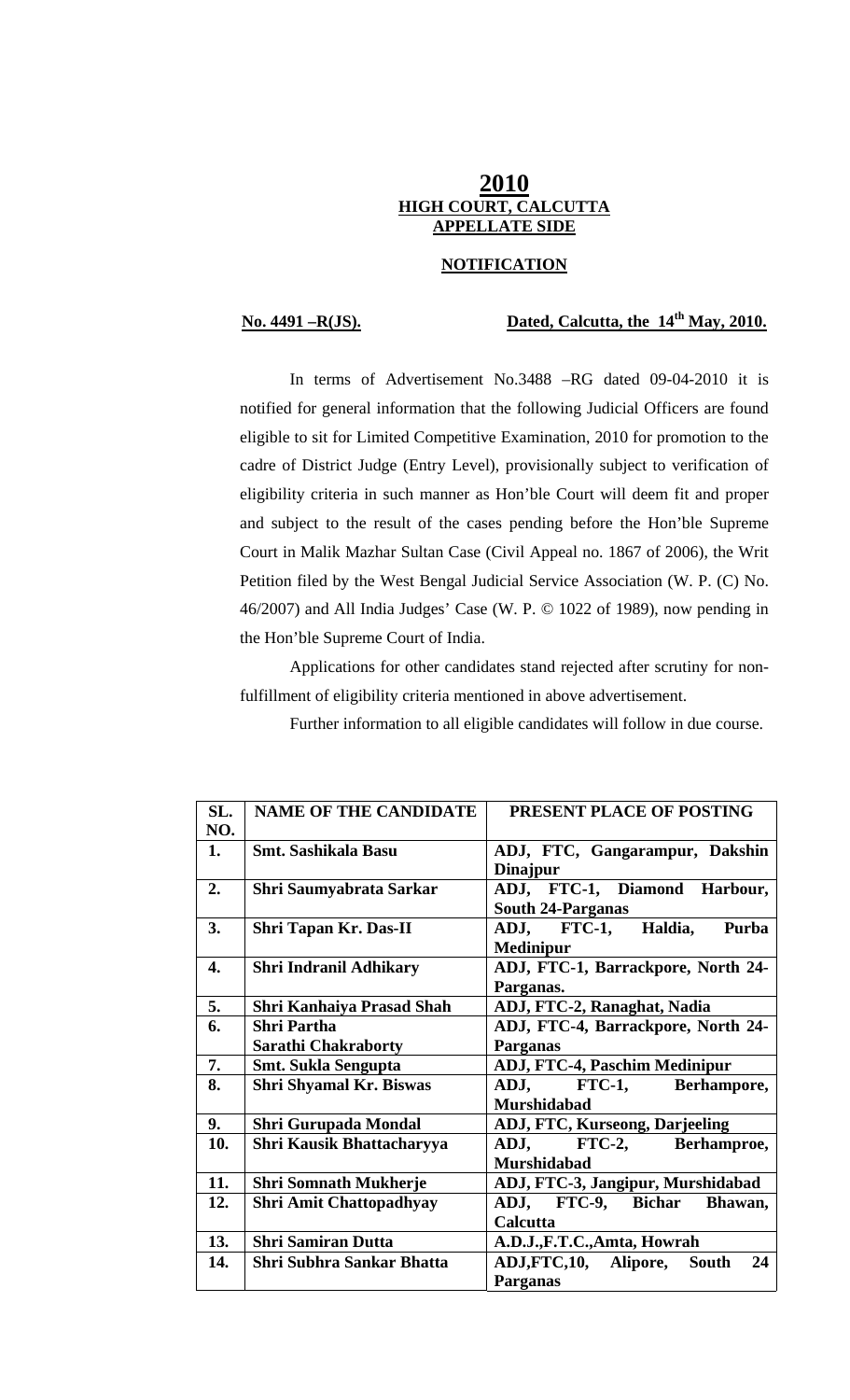# **2010 HIGH COURT, CALCUTTA APPELLATE SIDE**

### **NOTIFICATION**

# **No. 4491 –R(JS). Dated, Calcutta, the 14th May, 2010.**

 In terms of Advertisement No.3488 –RG dated 09-04-2010 it is notified for general information that the following Judicial Officers are found eligible to sit for Limited Competitive Examination, 2010 for promotion to the cadre of District Judge (Entry Level), provisionally subject to verification of eligibility criteria in such manner as Hon'ble Court will deem fit and proper and subject to the result of the cases pending before the Hon'ble Supreme Court in Malik Mazhar Sultan Case (Civil Appeal no. 1867 of 2006), the Writ Petition filed by the West Bengal Judicial Service Association (W. P. (C) No. 46/2007) and All India Judges' Case (W. P. © 1022 of 1989), now pending in the Hon'ble Supreme Court of India.

 Applications for other candidates stand rejected after scrutiny for nonfulfillment of eligibility criteria mentioned in above advertisement.

Further information to all eligible candidates will follow in due course.

| SL. | <b>NAME OF THE CANDIDATE</b>   | PRESENT PLACE OF POSTING              |
|-----|--------------------------------|---------------------------------------|
| NO. |                                |                                       |
| 1.  | <b>Smt. Sashikala Basu</b>     | ADJ, FTC, Gangarampur, Dakshin        |
|     |                                | <b>Dinajpur</b>                       |
| 2.  | Shri Saumyabrata Sarkar        | ADJ, FTC-1, Diamond Harbour,          |
|     |                                | <b>South 24-Parganas</b>              |
| 3.  | Shri Tapan Kr. Das-II          | ADJ, FTC-1, Haldia,<br>Purba          |
|     |                                | <b>Medinipur</b>                      |
| 4.  | <b>Shri Indranil Adhikary</b>  | ADJ, FTC-1, Barrackpore, North 24-    |
|     |                                | Parganas.                             |
| 5.  | Shri Kanhaiya Prasad Shah      | ADJ, FTC-2, Ranaghat, Nadia           |
| 6.  | <b>Shri Partha</b>             | ADJ, FTC-4, Barrackpore, North 24-    |
|     | <b>Sarathi Chakraborty</b>     | Parganas                              |
| 7.  | <b>Smt. Sukla Sengupta</b>     | <b>ADJ, FTC-4, Paschim Medinipur</b>  |
| 8.  | <b>Shri Shyamal Kr. Biswas</b> | ADJ, FTC-1, Berhampore,               |
|     |                                | <b>Murshidabad</b>                    |
| 9.  | <b>Shri Gurupada Mondal</b>    | <b>ADJ, FTC, Kurseong, Darjeeling</b> |
| 10. | Shri Kausik Bhattacharyya      | FTC-2, Berhamproe,<br>ADJ,            |
|     |                                | <b>Murshidabad</b>                    |
| 11. | <b>Shri Somnath Mukherje</b>   | ADJ, FTC-3, Jangipur, Murshidabad     |
| 12. | <b>Shri Amit Chattopadhyay</b> | ADJ, FTC-9, Bichar<br>Bhawan,         |
|     |                                | Calcutta                              |
| 13. | <b>Shri Samiran Dutta</b>      | A.D.J.,F.T.C.,Amta, Howrah            |
| 14. | Shri Subhra Sankar Bhatta      | ADJ,FTC,10, Alipore,<br>24<br>South   |
|     |                                | Parganas                              |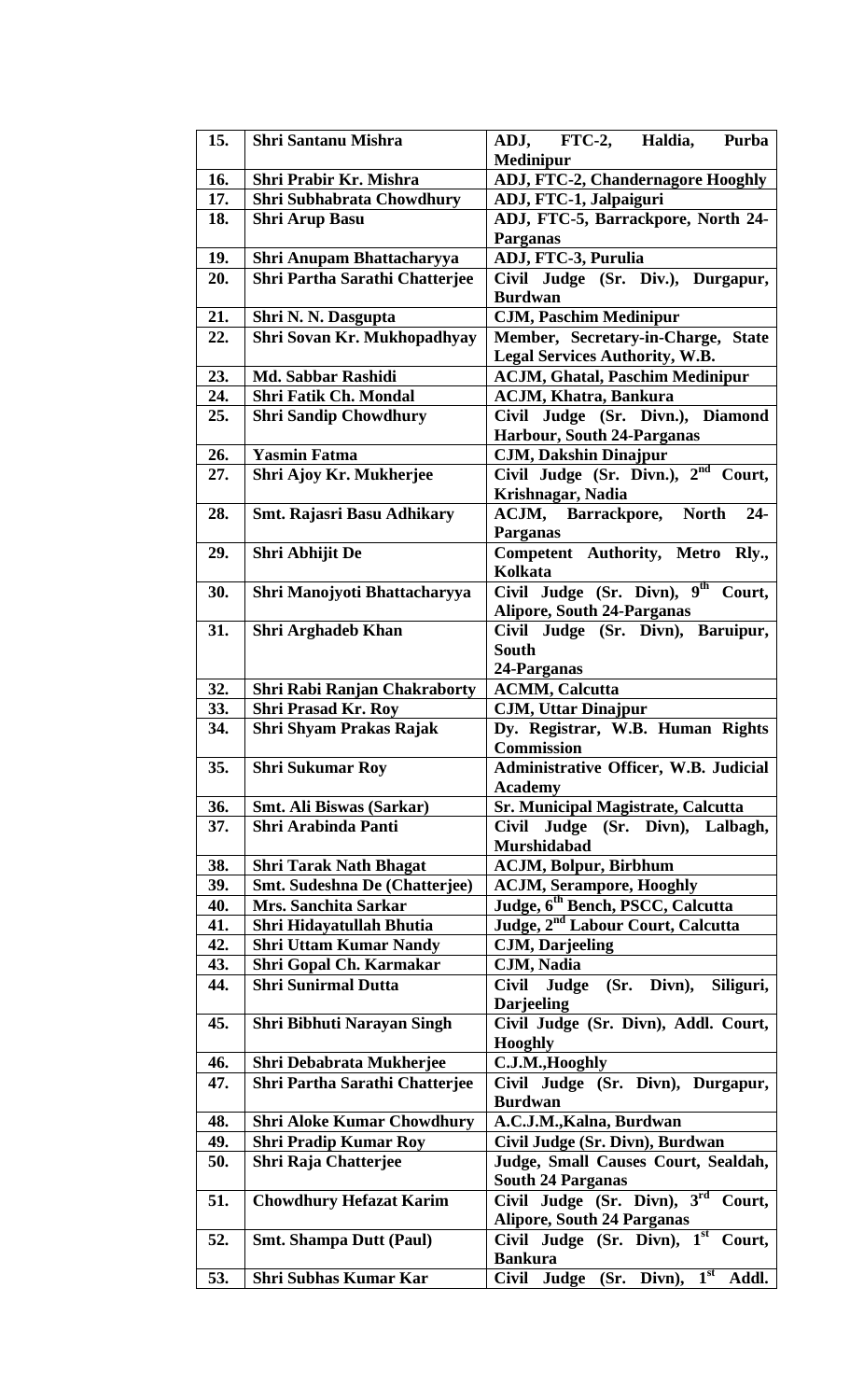| 15. | <b>Shri Santanu Mishra</b>            | ADJ, FTC-2, Haldia,<br>Purba<br>Medinipur                       |
|-----|---------------------------------------|-----------------------------------------------------------------|
| 16. | Shri Prabir Kr. Mishra                | ADJ, FTC-2, Chandernagore Hooghly                               |
| 17. | Shri Subhabrata Chowdhury             | ADJ, FTC-1, Jalpaiguri                                          |
| 18. | <b>Shri Arup Basu</b>                 | ADJ, FTC-5, Barrackpore, North 24-                              |
|     |                                       | <b>Parganas</b>                                                 |
| 19. | Shri Anupam Bhattacharyya             | ADJ, FTC-3, Purulia                                             |
| 20. | <b>Shri Partha Sarathi Chatterjee</b> | Civil Judge (Sr. Div.), Durgapur,                               |
|     |                                       | <b>Burdwan</b>                                                  |
| 21. | Shri N. N. Dasgupta                   | <b>CJM, Paschim Medinipur</b>                                   |
| 22. | Shri Sovan Kr. Mukhopadhyay           | Member, Secretary-in-Charge, State                              |
|     |                                       | Legal Services Authority, W.B.                                  |
| 23. | Md. Sabbar Rashidi                    | <b>ACJM, Ghatal, Paschim Medinipur</b>                          |
| 24. | <b>Shri Fatik Ch. Mondal</b>          | <b>ACJM, Khatra, Bankura</b>                                    |
| 25. | <b>Shri Sandip Chowdhury</b>          | Civil Judge (Sr. Divn.), Diamond                                |
|     |                                       | Harbour, South 24-Parganas                                      |
| 26. | <b>Yasmin Fatma</b>                   | <b>CJM, Dakshin Dinajpur</b>                                    |
| 27. | Shri Ajoy Kr. Mukherjee               | Civil Judge (Sr. Divn.), 2 <sup>nd</sup> Court,                 |
|     |                                       | Krishnagar, Nadia                                               |
| 28. | <b>Smt. Rajasri Basu Adhikary</b>     | <b>ACJM, Barrackpore,</b><br><b>North</b><br>$24-$              |
|     |                                       | <b>Parganas</b>                                                 |
| 29. | Shri Abhijit De                       | Competent Authority, Metro Rly.,                                |
|     |                                       | <b>Kolkata</b>                                                  |
| 30. | Shri Manojyoti Bhattacharyya          | Civil Judge (Sr. Divn), 9 <sup>th</sup> Court,                  |
|     |                                       | <b>Alipore, South 24-Parganas</b>                               |
| 31. | <b>Shri Arghadeb Khan</b>             | Civil Judge (Sr. Divn), Baruipur,                               |
|     |                                       | <b>South</b>                                                    |
|     |                                       |                                                                 |
|     |                                       | 24-Parganas                                                     |
| 32. | Shri Rabi Ranjan Chakraborty          | <b>ACMM, Calcutta</b>                                           |
| 33. | <b>Shri Prasad Kr. Roy</b>            | <b>CJM, Uttar Dinajpur</b>                                      |
| 34. | Shri Shyam Prakas Rajak               | Dy. Registrar, W.B. Human Rights<br><b>Commission</b>           |
| 35. | <b>Shri Sukumar Roy</b>               | Administrative Officer, W.B. Judicial                           |
|     |                                       | <b>Academy</b>                                                  |
| 36. | <b>Smt. Ali Biswas (Sarkar)</b>       | <b>Sr. Municipal Magistrate, Calcutta</b>                       |
| 37. | <b>Shri Arabinda Panti</b>            | Civil Judge (Sr. Divn), Lalbagh,                                |
|     |                                       | <b>Murshidabad</b>                                              |
| 38. | <b>Shri Tarak Nath Bhagat</b>         | <b>ACJM, Bolpur, Birbhum</b>                                    |
| 39. | Smt. Sudeshna De (Chatterjee)         | <b>ACJM, Serampore, Hooghly</b>                                 |
| 40. | <b>Mrs. Sanchita Sarkar</b>           | Judge, 6 <sup>th</sup> Bench, PSCC, Calcutta                    |
| 41. | Shri Hidayatullah Bhutia              | Judge, 2 <sup>nd</sup> Labour Court, Calcutta                   |
| 42. | <b>Shri Uttam Kumar Nandy</b>         | <b>CJM, Darjeeling</b>                                          |
| 43. | Shri Gopal Ch. Karmakar               | CJM, Nadia                                                      |
| 44. | <b>Shri Sunirmal Dutta</b>            | Civil Judge<br>$(Sr.$ Divn),<br>Siliguri,                       |
|     |                                       | <b>Darjeeling</b>                                               |
|     |                                       |                                                                 |
| 45. | Shri Bibhuti Narayan Singh            | Civil Judge (Sr. Divn), Addl. Court,                            |
|     |                                       | <b>Hooghly</b>                                                  |
| 46. | Shri Debabrata Mukherjee              | C.J.M., Hooghly                                                 |
| 47. | <b>Shri Partha Sarathi Chatterjee</b> | Civil Judge (Sr. Divn), Durgapur,                               |
|     |                                       | <b>Burdwan</b>                                                  |
| 48. | <b>Shri Aloke Kumar Chowdhury</b>     | A.C.J.M., Kalna, Burdwan                                        |
| 49. | <b>Shri Pradip Kumar Roy</b>          | Civil Judge (Sr. Divn), Burdwan                                 |
| 50. | Shri Raja Chatterjee                  | Judge, Small Causes Court, Sealdah,<br><b>South 24 Parganas</b> |
| 51. | <b>Chowdhury Hefazat Karim</b>        | Civil Judge (Sr. Divn), 3 <sup>rd</sup> Court,                  |
|     |                                       | <b>Alipore, South 24 Parganas</b>                               |
| 52. | <b>Smt. Shampa Dutt (Paul)</b>        | Civil Judge (Sr. Divn), 1st<br>Court,                           |
|     |                                       | <b>Bankura</b>                                                  |
| 53. | Shri Subhas Kumar Kar                 | $(Sr.$ Divn), $1st$<br>Judge<br><b>Civil</b><br>Addl.           |
|     |                                       |                                                                 |